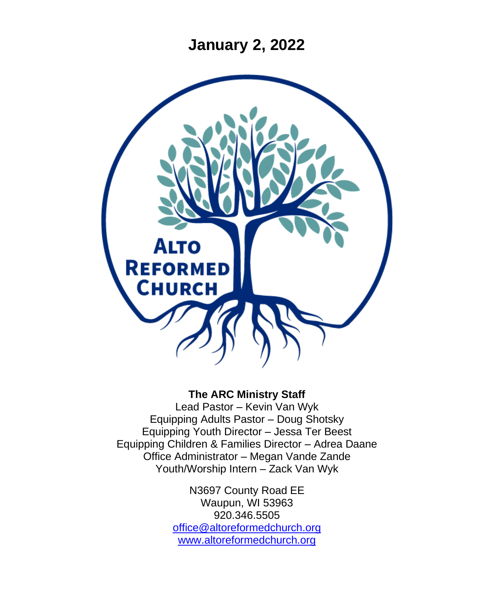**January 2, 2022**



### **The ARC Ministry Staff**

Lead Pastor – Kevin Van Wyk Equipping Adults Pastor – Doug Shotsky Equipping Youth Director – Jessa Ter Beest Equipping Children & Families Director – Adrea Daane Office Administrator – Megan Vande Zande Youth/Worship Intern – Zack Van Wyk

> N3697 County Road EE Waupun, WI 53963 920.346.5505 [office@altoreformedchurch.org](mailto:office@altoreformedchurch.org) [www.altoreformedchurch.org](http://www.altoreformedchurch.org/)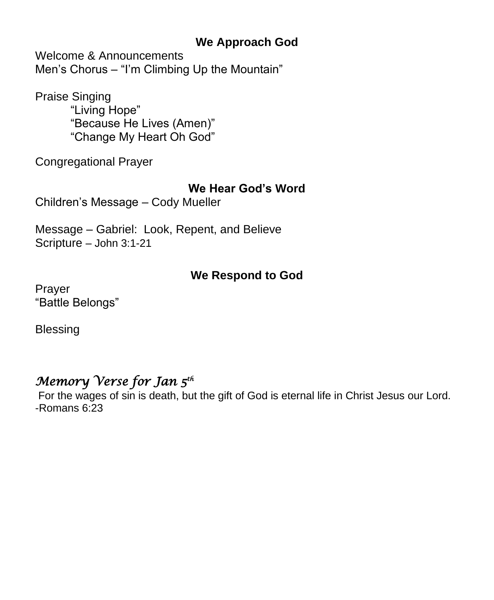## **We Approach God**

Welcome & Announcements Men's Chorus – "I'm Climbing Up the Mountain"

Praise Singing "Living Hope" "Because He Lives (Amen)" "Change My Heart Oh God"

Congregational Prayer

### **We Hear God's Word**

Children's Message – Cody Mueller

Message – Gabriel: Look, Repent, and Believe Scripture – John 3:1-21

### **We Respond to God**

Prayer "Battle Belongs"

Blessing

## *Memory Verse for Jan 5th*

For the wages of sin is death, but the gift of God is eternal life in Christ Jesus our Lord. -Romans 6:23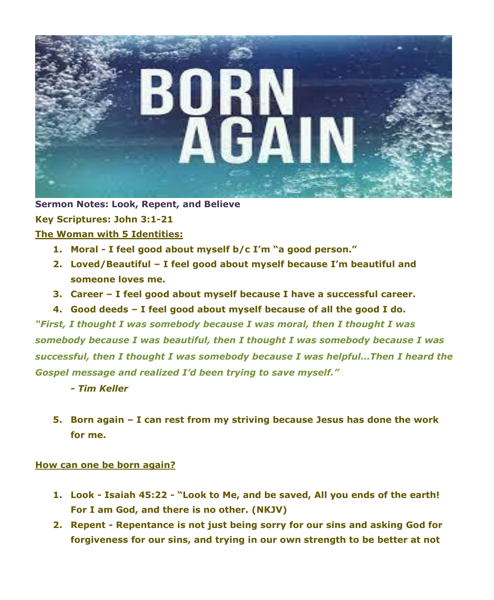

**Sermon Notes: Look, Repent, and Believe Key Scriptures: John 3:1-21 The Woman with 5 Identities:**

- **1. Moral - I feel good about myself b/c I'm "a good person."**
- **2. Loved/Beautiful – I feel good about myself because I'm beautiful and someone loves me.**
- **3. Career – I feel good about myself because I have a successful career.**
- **4. Good deeds – I feel good about myself because of all the good I do.** *"First, I thought I was somebody because I was moral, then I thought I was somebody because I was beautiful, then I thought I was somebody because I was successful, then I thought I was somebody because I was helpful…Then I heard the Gospel message and realized I'd been trying to save myself."*
	- *- Tim Keller*
	- **5. Born again – I can rest from my striving because Jesus has done the work for me.**

#### **How can one be born again?**

- **1. Look - Isaiah 45:22 - "Look to Me, and be saved, All you ends of the earth! For I am God, and there is no other. (NKJV)**
- **2. Repent - Repentance is not just being sorry for our sins and asking God for forgiveness for our sins, and trying in our own strength to be better at not**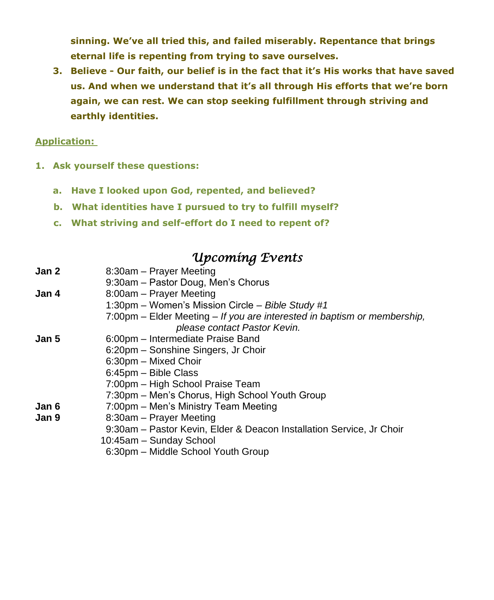**sinning. We've all tried this, and failed miserably. Repentance that brings eternal life is repenting from trying to save ourselves.**

**3. Believe - Our faith, our belief is in the fact that it's His works that have saved us. And when we understand that it's all through His efforts that we're born again, we can rest. We can stop seeking fulfillment through striving and earthly identities.**

#### **Application:**

- **1. Ask yourself these questions:**
	- **a. Have I looked upon God, repented, and believed?**
	- **b. What identities have I pursued to try to fulfill myself?**
	- **c. What striving and self-effort do I need to repent of?**

## *Upcoming Events*

| Jan 2 | 8:30am - Prayer Meeting                                                  |
|-------|--------------------------------------------------------------------------|
|       | 9:30am - Pastor Doug, Men's Chorus                                       |
| Jan 4 | 8:00am - Prayer Meeting                                                  |
|       | 1:30pm – Women's Mission Circle – Bible Study #1                         |
|       | 7:00pm – Elder Meeting – If you are interested in baptism or membership, |
|       | please contact Pastor Kevin.                                             |
| Jan 5 | 6:00pm – Intermediate Praise Band                                        |
|       | 6:20pm – Sonshine Singers, Jr Choir                                      |
|       | 6:30pm - Mixed Choir                                                     |
|       | 6:45pm - Bible Class                                                     |
|       | 7:00pm - High School Praise Team                                         |
|       | 7:30pm - Men's Chorus, High School Youth Group                           |
| Jan 6 | 7:00pm – Men's Ministry Team Meeting                                     |
| Jan 9 | 8:30am – Prayer Meeting                                                  |
|       | 9:30am – Pastor Kevin, Elder & Deacon Installation Service, Jr Choir     |
|       | 10:45am – Sunday School                                                  |
|       | 6:30pm – Middle School Youth Group                                       |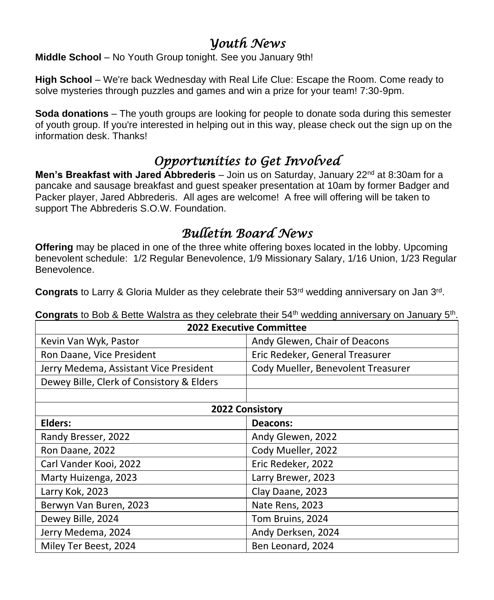## *Youth News*

**Middle School** – No Youth Group tonight. See you January 9th!

**High School** – We're back Wednesday with Real Life Clue: Escape the Room. Come ready to solve mysteries through puzzles and games and win a prize for your team! 7:30-9pm.

**Soda donations** – The youth groups are looking for people to donate soda during this semester of youth group. If you're interested in helping out in this way, please check out the sign up on the information desk. Thanks!

# *Opportunities to Get Involved*

**Men's Breakfast with Jared Abbrederis** – Join us on Saturday, January 22<sup>nd</sup> at 8:30am for a pancake and sausage breakfast and guest speaker presentation at 10am by former Badger and Packer player, Jared Abbrederis. All ages are welcome! A free will offering will be taken to support The Abbrederis S.O.W. Foundation.

# *Bulletin Board News*

**Offering** may be placed in one of the three white offering boxes located in the lobby. Upcoming benevolent schedule: 1/2 Regular Benevolence, 1/9 Missionary Salary, 1/16 Union, 1/23 Regular Benevolence.

Congrats to Larry & Gloria Mulder as they celebrate their 53<sup>rd</sup> wedding anniversary on Jan 3<sup>rd</sup>.

| <b>2022 Executive Committee</b>           |                                    |  |  |
|-------------------------------------------|------------------------------------|--|--|
| Kevin Van Wyk, Pastor                     | Andy Glewen, Chair of Deacons      |  |  |
| Ron Daane, Vice President                 | Eric Redeker, General Treasurer    |  |  |
| Jerry Medema, Assistant Vice President    | Cody Mueller, Benevolent Treasurer |  |  |
| Dewey Bille, Clerk of Consistory & Elders |                                    |  |  |
|                                           |                                    |  |  |
| <b>2022 Consistory</b>                    |                                    |  |  |
| Elders:                                   | Deacons:                           |  |  |
| Randy Bresser, 2022                       | Andy Glewen, 2022                  |  |  |
| Ron Daane, 2022                           | Cody Mueller, 2022                 |  |  |
| Carl Vander Kooi, 2022                    | Eric Redeker, 2022                 |  |  |
| Marty Huizenga, 2023                      | Larry Brewer, 2023                 |  |  |
| Larry Kok, 2023                           | Clay Daane, 2023                   |  |  |
| Berwyn Van Buren, 2023                    | Nate Rens, 2023                    |  |  |
| Dewey Bille, 2024                         | Tom Bruins, 2024                   |  |  |
| Jerry Medema, 2024                        | Andy Derksen, 2024                 |  |  |
| Miley Ter Beest, 2024                     | Ben Leonard, 2024                  |  |  |

Congrats to Bob & Bette Walstra as they celebrate their 54<sup>th</sup> wedding anniversary on January 5<sup>th</sup>.